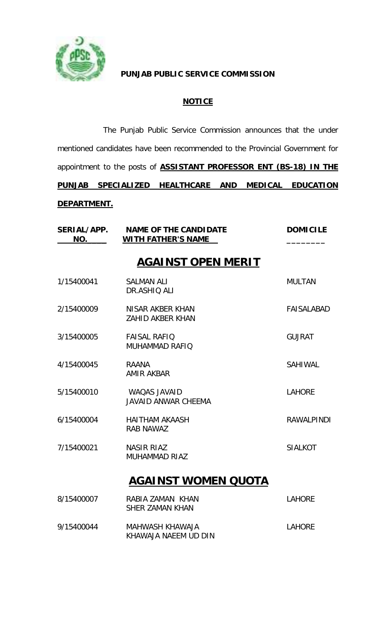

### **PUNJAB PUBLIC SERVICE COMMISSION**

## **NOTICE**

The Punjab Public Service Commission announces that the under mentioned candidates have been recommended to the Provincial Government for appointment to the posts of **ASSISTANT PROFESSOR ENT (BS-18) IN THE PUNJAB SPECIALIZED HEALTHCARE AND MEDICAL EDUCATION DEPARTMENT.**

| NO.        | SERIAL/APP. NAME OF THE CANDIDATE<br><b>WITH FATHER'S NAME</b> | <b>DOMICILE</b>   |
|------------|----------------------------------------------------------------|-------------------|
|            | <b>AGAINST OPEN MERIT</b>                                      |                   |
| 1/15400041 | <b>SALMAN ALI</b><br>DR.ASHIQ ALI                              | <b>MULTAN</b>     |
| 2/15400009 | NISAR AKBER KHAN<br><b>ZAHID AKBER KHAN</b>                    | FAISALABAD        |
| 3/15400005 | <b>FAISAL RAFIO</b><br>MUHAMMAD RAFIQ                          | <b>GUJRAT</b>     |
| 4/15400045 | <b>RAANA</b><br><b>AMIR AKBAR</b>                              | <b>SAHIWAL</b>    |
| 5/15400010 | WAQAS JAVAID<br><b>JAVAID ANWAR CHEEMA</b>                     | <b>LAHORE</b>     |
| 6/15400004 | <b>HAITHAM AKAASH</b><br><b>RAB NAWAZ</b>                      | <b>RAWALPINDI</b> |
| 7/15400021 | <b>NASIR RIAZ</b><br><b>MUHAMMAD RIAZ</b>                      | <b>SIALKOT</b>    |
|            | <b>AGAINST WOMEN QUOTA</b>                                     |                   |
| 8/15400007 | RABIA ZAMAN KHAN<br><b>SHER ZAMAN KHAN</b>                     | <b>LAHORE</b>     |
| 9/15400044 | MAHWASH KHAWAJA<br>KHAWAJA NAEEM UD DIN                        | <b>LAHORE</b>     |